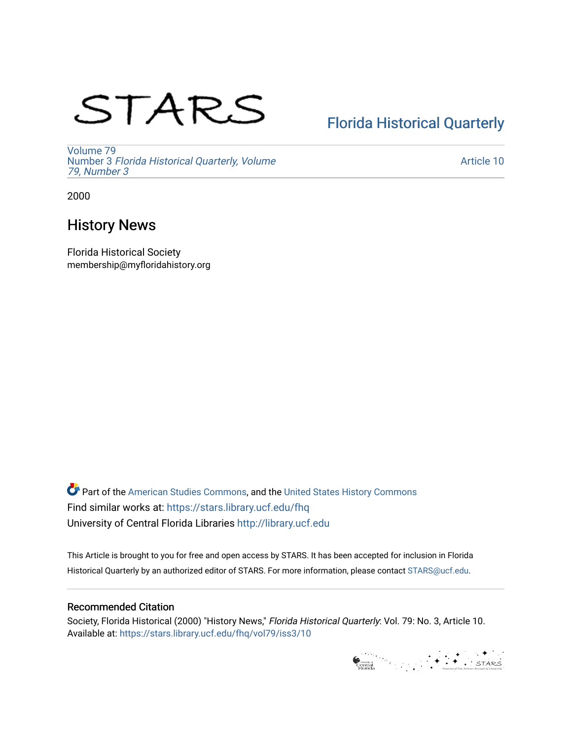# STARS

## [Florida Historical Quarterly](https://stars.library.ucf.edu/fhq)

[Volume 79](https://stars.library.ucf.edu/fhq/vol79) Number 3 [Florida Historical Quarterly, Volume](https://stars.library.ucf.edu/fhq/vol79/iss3)  [79, Number 3](https://stars.library.ucf.edu/fhq/vol79/iss3)

[Article 10](https://stars.library.ucf.edu/fhq/vol79/iss3/10) 

2000

## History News

Florida Historical Society membership@myfloridahistory.org

**C** Part of the [American Studies Commons](http://network.bepress.com/hgg/discipline/439?utm_source=stars.library.ucf.edu%2Ffhq%2Fvol79%2Fiss3%2F10&utm_medium=PDF&utm_campaign=PDFCoverPages), and the United States History Commons Find similar works at: <https://stars.library.ucf.edu/fhq> University of Central Florida Libraries [http://library.ucf.edu](http://library.ucf.edu/) 

This Article is brought to you for free and open access by STARS. It has been accepted for inclusion in Florida Historical Quarterly by an authorized editor of STARS. For more information, please contact [STARS@ucf.edu.](mailto:STARS@ucf.edu)

#### Recommended Citation

Society, Florida Historical (2000) "History News," Florida Historical Quarterly: Vol. 79: No. 3, Article 10. Available at: [https://stars.library.ucf.edu/fhq/vol79/iss3/10](https://stars.library.ucf.edu/fhq/vol79/iss3/10?utm_source=stars.library.ucf.edu%2Ffhq%2Fvol79%2Fiss3%2F10&utm_medium=PDF&utm_campaign=PDFCoverPages)

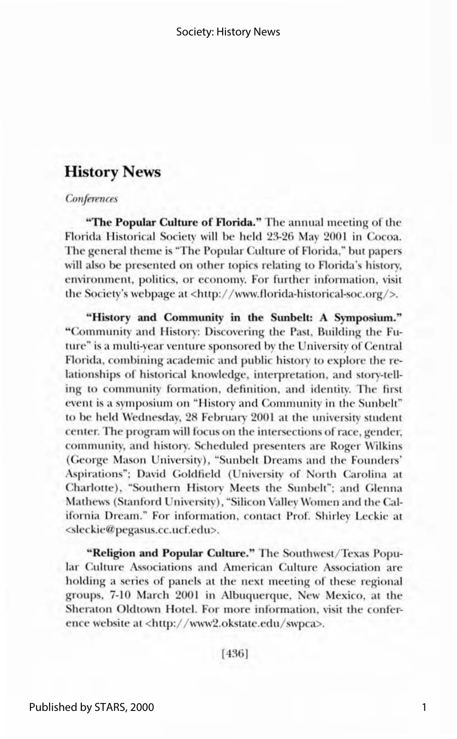#### **History News**

#### Conferences

"The Popular Culture of Florida." The annual meeting of the Florida Historical Society will be held 23-26 May 2001 in Cocoa. The general theme is "The Popular Culture of Florida," but papers will also be presented on other topics relating to Florida's history, environment, politics, or economy. For further information, visit the Society's webpage at <http://www.florida-historical-soc.org/>.

"History and Community in the Sunbelt: A Symposium." "Community and History: Discovering the Past, Building the Future" is a multi-year venture sponsored by the University of Central Florida, combining academic and public history to explore the relationships of historical knowledge, interpretation, and story-telling to community formation, definition, and identity. The first event is a symposium on "History and Community in the Sunbelt" to be held Wednesday, 28 February 2001 at the university student center. The program will focus on the intersections of race, gender. community, and history. Scheduled presenters are Roger Wilkins (George Mason University), "Sunbelt Dreams and the Founders' Aspirations"; David Goldfield (University of North Carolina at Charlotte), "Southern History Meets the Sunbelt"; and Glenna Mathews (Stanford University), "Silicon Valley Women and the California Dream." For information, contact Prof. Shirley Leckie at <sleckie@pegasus.cc.ucf.edu>.

"Religion and Popular Culture." The Southwest/Texas Popular Culture Associations and American Culture Association are holding a series of panels at the next meeting of these regional groups, 7-10 March 2001 in Albuquerque, New Mexico, at the Sheraton Oldtown Hotel. For more information, visit the conference website at <http://www2.okstate.edu/swpca>.

 $[436]$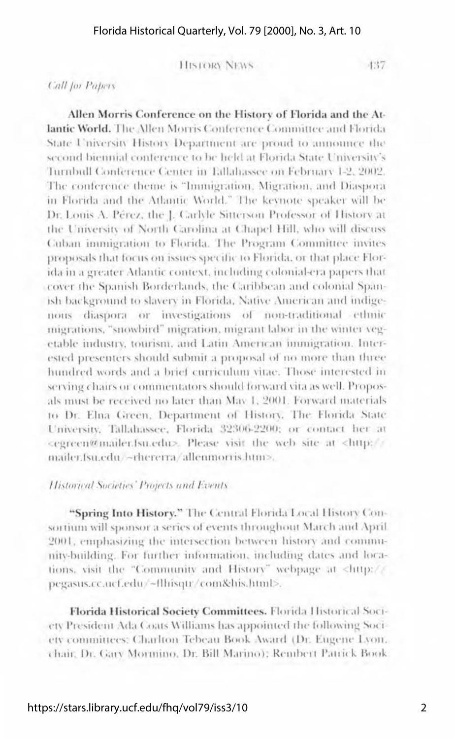-437

**HISTORY NEWS** 

**Call for Papers** 

Allen Morris Conference on the History of Florida and the Atlantic World. The Allen Morris Conference Committee and Florida State University History Department are proud to announce the second biennial conference to be held at Florida State University's Turnbull Conference Center in Edlahassee on February 1-2, 2002. The conference theme is "Immigration, Migration, and Diasporain Florida and the Atlantic World." The keynote speaker will be Dr. Louis A. Pérez, the J. Carlyle Sitterson Professor of History at the University of North Carolina at Chapel Hill, who will discuss Cuban inunigration to Florida. The Program Committee invites proposals that focus on issues specific to Florida, or that place Florida in a greater Atlantic context, including colonial-era papers that cover the Spanish Borderlands, the Caribbean and colonial Spanish background to slavery in Florida, Native American and indigenous diaspora or investigations of non-traditional ethnic migrations, "snowbird" migration, migrant labor in the winter vegetable industry, tourism, and Latin American immigration. Interested presenters should submit a proposal of no more than three hundred words and a brief curriculum vitae. Those interested in serving chairs or commentators should forward vita as well. Proposals must be received no later than May 1, 2001. Forward materials to Dr. Elna Green, Department of History, The Florida State University, Tallahassee, Florida 32306-2200; or contact her at <egreen@mailer.fsu.edu>. Please visit the web site at <http:// mailer.fsu.edu/~rhererra/allenmorris.htm>.

#### Historical Societies' Projects and Events

"Spring Into History." The Central Florida Local History Consortium will sponsor a series of events throughout March and April 2001, emphasizing the intersection between history and community-building. For further information, including dates and locations, visit the "Community and History" webpage at <http:// pegasus.cc.ucf.edu/~flhisqu/com&his.html>.

Florida Historical Society Committees. Florida Historical Society President Ada Coats Williams has appointed the following Society committees: Charlton Tebeau Book Award (Dr. Eugene Lyon. chair, Dr. Gary Mormino, Dr. Bill Marino); Rembert Patrick Book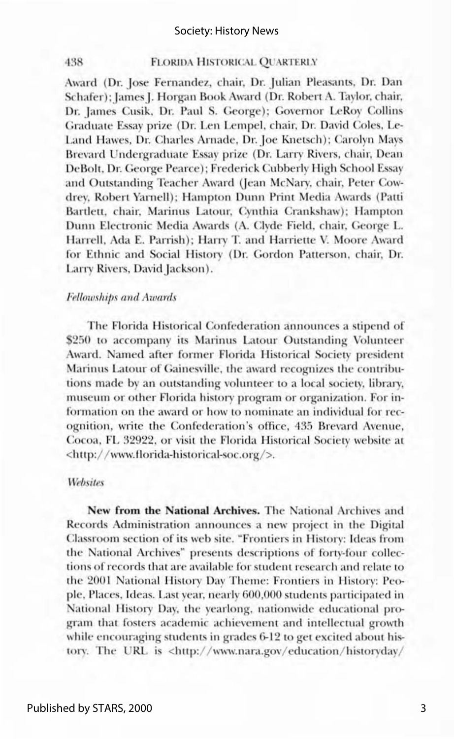#### **FLORIDA HISTORICAL OUARTERLY**

Award (Dr. Jose Fernandez, chair, Dr. Julian Pleasants, Dr. Dan Schafer): James J. Horgan Book Award (Dr. Robert A. Taylor, chair, Dr. James Cusik, Dr. Paul S. George); Governor LeRoy Collins Graduate Essay prize (Dr. Len Lempel, chair, Dr. David Coles, Le-Land Hawes, Dr. Charles Arnade, Dr. Joe Knetsch); Carolyn Mays Brevard Undergraduate Essay prize (Dr. Larry Rivers, chair, Dean DeBolt, Dr. George Pearce); Frederick Cubberly High School Essay and Outstanding Teacher Award (Jean McNary, chair, Peter Cowdrey, Robert Yarnell); Hampton Dunn Print Media Awards (Patti Bartlett, chair, Marinus Latour, Cynthia Crankshaw); Hampton Dunn Electronic Media Awards (A. Clyde Field, chair, George L. Harrell, Ada E. Parrish); Harry T. and Harriette V. Moore Award for Ethnic and Social History (Dr. Gordon Patterson, chair, Dr. Larry Rivers, David Jackson).

#### **Fellowships and Awards**

438

The Florida Historical Confederation announces a stipend of \$250 to accompany its Marinus Latour Outstanding Volunteer Award. Named after former Florida Historical Society president Marinus Latour of Gainesville, the award recognizes the contributions made by an outstanding volunteer to a local society, library, museum or other Florida history program or organization. For information on the award or how to nominate an individual for recognition, write the Confederation's office, 435 Brevard Avenue, Cocoa, FL 32922, or visit the Florida Historical Society website at <http://www.florida-historical-soc.org/>.

#### **Websites**

New from the National Archives. The National Archives and Records Administration announces a new project in the Digital Classroom section of its web site. "Frontiers in History: Ideas from the National Archives" presents descriptions of forty-four collections of records that are available for student research and relate to the 2001 National History Day Theme: Frontiers in History: People, Places, Ideas. Last year, nearly 600,000 students participated in National History Day, the yearlong, nationwide educational program that fosters academic achievement and intellectual growth while encouraging students in grades 6-12 to get excited about history. The URL is <http://www.nara.gov/education/historyday/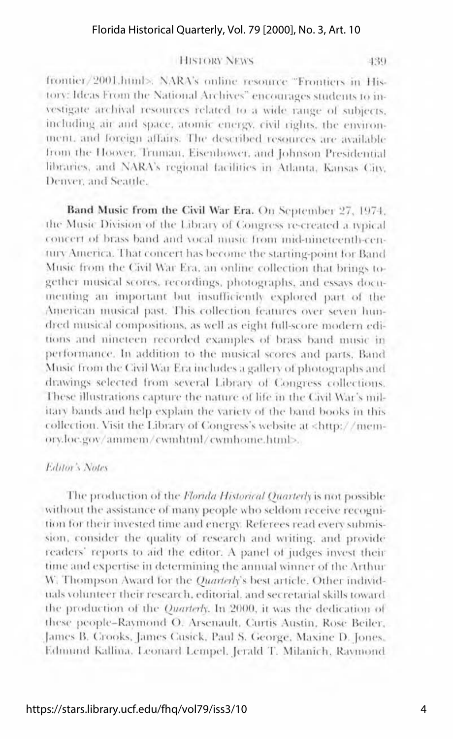439

#### **HISTORY NEWS**

frontier/2001.html>. NARA's online resource "Frontiers in History: Ideas From the National Archives" encourages students to investigate archival resources related to a wide range of subjects. including air and space, atomic energy, civil rights, the environment, and foreign affairs. The described resources are available from the Hoover, Truman, Eisenhower, and Johnson Presidential libraries, and NARA's regional facilities in Atlanta. Kansas City, Denver and Seattle.

Band Music from the Civil War Era. On September 27, 1974. the Music Division of the Library of Congress re-created a typical concert of brass band and yocal music from mid-nineteenth-century America. That concert has become the starting-point for Band Music from the Civil War Era, an online collection that brings together musical scores, recordings, photographs, and essays documenting an important but insufficiently explored part of the American musical past. This collection features over seven hundred musical compositions, as well as eight full-score modern editions and nineteen recorded examples of brass band music in performance. In addition to the musical scores and parts. Band Music from the Civil War Era includes a gallery of photographs and drawings selected from several Library of Congress collections. These illustrations capture the nature of life in the Civil War's military bands and help explain the variety of the band books in this collection. Visit the Library of Congress's website at <http://memory.loc.gov/ammem/cwmhtml/cwmhome.html>...

#### Editor's Notes

The production of the Florida Historical Quarterly is not possible without the assistance of many people who seldom receive recognition for their invested time and energy. Referees read every submission, consider the quality of research and writing, and provide readers' reports to aid the editor. A panel of judges invest their time and expertise in determining the annual winner of the Arthur W. Thompson Award for the *Quarterl*y's best article. Other individuals volunteer their research, editorial, and secretarial skills toward. the production of the *Quarterly*. In 2000, it was the dedication of these people-Raymond O. Arsenault, Curtis Austin, Rose Beiler. James B. Crooks, James Cusick, Paul S. George, Maxine D. Jones, Edmund Kallina, Leonard Lempel, Jerald T. Milanich, Raymond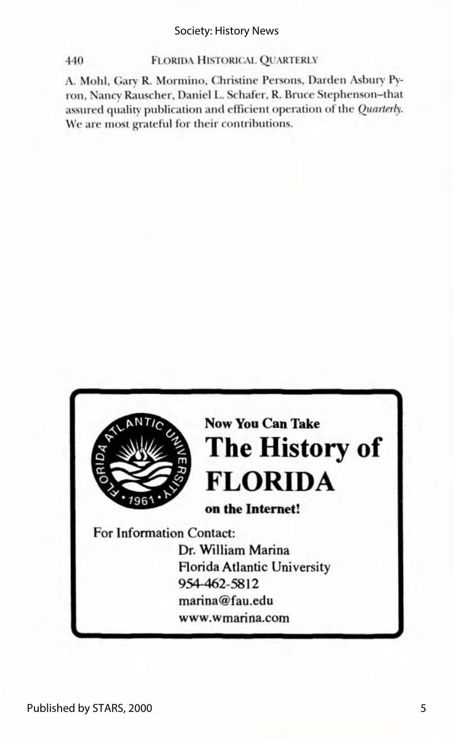#### Society: History News

#### **FLORIDA HISTORICAL QUARTERLY**

440

A. Mohl, Gary R. Mormino, Christine Persons, Darden Asbury Pyron, Nancy Rauscher, Daniel L. Schafer, R. Bruce Stephenson-that assured quality publication and efficient operation of the Quarterly. We are most grateful for their contributions.

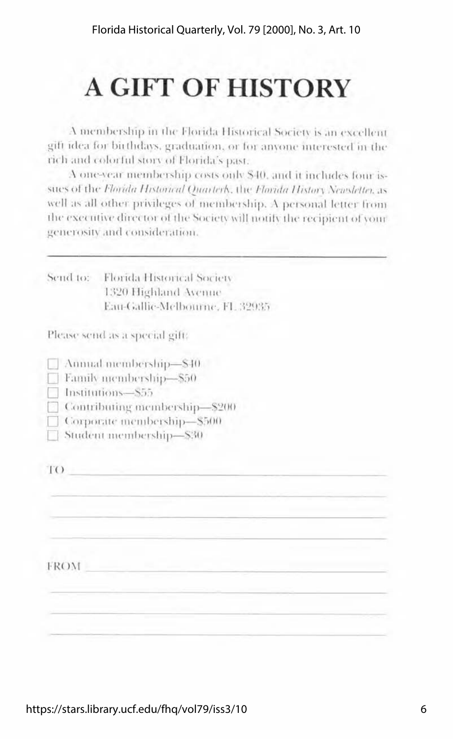# **A GIFT OF HISTORY**

A membership in the Florida Historical Society is an excellent gift idea for birthdays, graduation, or for anyone interested in the rich and colorful story of Florida's past.

A one-year membership costs only \$40, and it includes four issues of the Florida Historical Quarterk, the Florida History Newsletter, as well as all other privileges of membership. A personal letter from the executive director of the Society will notify the recipient of your generosity and consideration.

|             | Send to: Florida Historical Society<br>1320 Highland Avenue |
|-------------|-------------------------------------------------------------|
|             | Eau-Gallie-Melbourne, FL 32935                              |
|             | Please send as a special gift:                              |
|             | Annual membership-\$40                                      |
|             | Family membership-\$50                                      |
|             | Institutions-S55                                            |
|             | Contributing membership-\$200                               |
|             | Corporate membership-\$500                                  |
|             | Student membership-\$30                                     |
|             |                                                             |
| 1()         |                                                             |
|             |                                                             |
|             |                                                             |
|             |                                                             |
|             |                                                             |
|             |                                                             |
| <b>FROM</b> |                                                             |
|             |                                                             |
|             |                                                             |
|             |                                                             |
|             |                                                             |